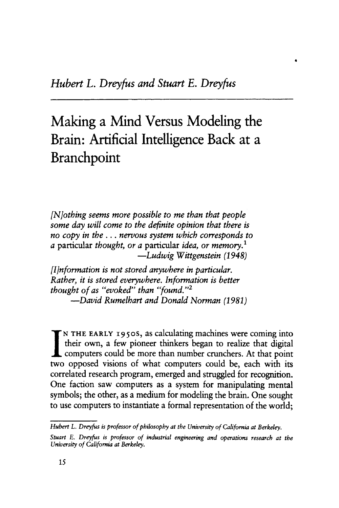# Making a Mind Versus Modeling the Brain: Artificial Intelligence Back at a Branchpoint

 $[N]$ othing seems more possible to me than that people<br>some day will come to the definite opinion that there is no copy in the  $\ldots$  nervous system which corresponds to a particular thought, or a particular idea, or memory.<sup>1</sup>  $\frac{1}{4}$  particular thought, or a particular time, or memory.  $\equiv$ Ludwig Wittgenstein (1940)

 [Information is not stored anywhere in particular. thought of as "evoked" than "found."<sup>2</sup>  $\sum_{i=1}^n \sum_{i=1}^n \sum_{i=1}^n \sum_{i=1}^n \sum_{i=1}^n \sum_{i=1}^n \sum_{i=1}^n \sum_{i=1}^n \sum_{i=1}^n \sum_{i=1}^n \sum_{i=1}^n \sum_{i=1}^n \sum_{i=1}^n \sum_{i=1}^n \sum_{i=1}^n \sum_{i=1}^n \sum_{i=1}^n \sum_{i=1}^n \sum_{i=1}^n \sum_{i=1}^n \sum_{i=1}^n \sum_{i=1}^n \sum_{i=1}^n \sum_{i=1}^n \sum_{i$ ?David Rumelhart and Donald Norman (1981)

IN THE EARLY 1950S, as calculating machines were coming into their own, a few pioneer thinkers began to realize that digital computers could be more than number crunchers. At that point two opposed visions of what computers could be, each with its correlated research program, emerged and struggled for recognition. One faction saw computers as a system for manipulating mental symbols; the other, as a medium for modeling the brain. One sought symbols; the other, as a medium for modeling the brain. One sought to use computers to instantiate a formal representation of the world;

Hubert L. Dreyfus is professor of philosophy at the University of California at Berkeley.

Stuart E. Dreyfus is professor of industrial engineering and operations research at the University of California at Berkeley.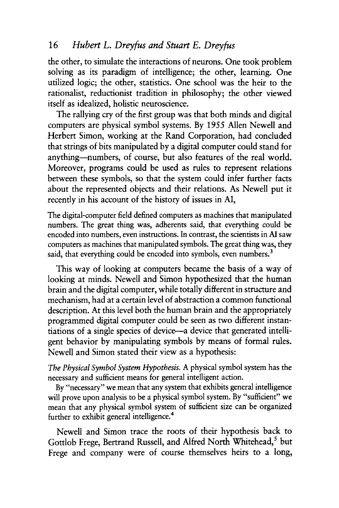the other, to simulate the interactions of neurons. One took problem<br>solving as its paradigm of intelligence; the other, learning. One utilized logic; the other, statistics. One school was the heir to the utilized logic; the other, statistics. One school was the heir to the rationalist, reductionist tradition in philosophy; the other viewed itself as idealized, holistic neuroscience.<br>The rallying cry of the first group was that both minds and digital

computers are physical symbol systems. By 1955 Allen Newell and Herbert Simon, working at the Rand Corporation, had concluded that strings of bits manipulated by a digital computer could stand for anything—numbers, of course, but also features of the real world. Moreover, programs could be used as rules to represent relations between these symbols, so that the system could infer further facts about the represented objects and their relations. As Newell put it about the represented objects and their relations. As Newell put it recently in his account of the history of issues in AI,

The digital-computer field defined computers as machines that manipulated numbers. The great thing was, adherents said, that everything could be encoded into numbers, even instructions. In contrast, the scientists in AI saw computers as machines that manipulated symbols. The great thing was, they computers as machines that manipulated symbols. The great thing was, they said, that every along could be encoded into symbols, even numbers.

This way of looking at computers became the basis of a way of looking at minds. Newell and Simon hypothesized that the human brain and the digital computer, while totally different in structure and mechanism, had at a certain level of abstraction a common functional description. At this level both the human brain and the appropriately programmed digital computer could be seen as two different instantiations of a single species of device-a device that generated intelligent behavior by manipulating symbols by means of formal rules. gent behavior by mamputating symbols by means of formal rules. Newell and Simon stated their view as a hypothesis:

The Physical Symbol System Hypothesis. A physical symbol system has the necessary and sufficient means for general intelligent action.

By "necessary" we mean that any system that exhibits general intelligence. will prove upon analysis to be a physical symbol system. By "sufficient" we will prove upon analysis to be a physical symbol system. By "sufficient" we mean that any physical symbol system of sufficient size can be organized further to exhibit general intelligence.<sup>4</sup>

Newell and Simon trace the roots of their hypothesis back to Gottlob Frege, Bertrand Russell, and Alfred North Whitehead,<sup>5</sup> but Gottlob Frege, Bertrand Russell, and Alfred North Whitehead, 5 Frege and company were of course themselves help to a lo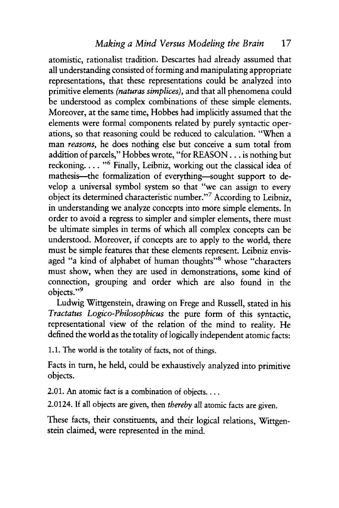atomistic, rationalist tradition. Descartes had already assumed that representations, that these representations could be analyzed into primitive elements (naturas simplices), and that all phenomena could be understood as complex combinations of these simple elements. Moreover, at the same time, Hobbes had implicitly assumed that the elements were formal components related by purely syntactic operations, so that reasoning could be reduced to calculation. "When a man reasons, he does nothing else but conceive a sum total from addition of parcels," Hobbes wrote, "for REASON . . . is nothing but reckoning...."<sup>6</sup> Finally, Leibniz, working out the classical idea of mathesis—the formalization of everything—sought support to develop a universal symbol system so that "we can assign to every object its determined characteristic number."<sup>7</sup> According to Leibniz, in understanding we analyze concepts into more simple elements. In order to avoid a regress to simpler and simpler elements, there must be ultimate simples in terms of which all complex concepts can be understood. Moreover, if concepts are to apply to the world, there must be simple features that these elements represent. Leibniz envisaged "a kind of alphabet of human thoughts"<sup>8</sup> whose "characters must show, when they are used in demonstrations, some kind of must show, when they are used in demonstrations, some kind of connection, grouping and order which are also found in the objects."<sup>9</sup><br>Ludwig Wittgenstein, drawing on Frege and Russell, stated in his

Tractatus Logico-Philosophicus the pure form of this syntactic. representational view of the relation of the mind to reality. He representational view of the relation of the mind to reality.  $d$  defined the total as the totality of logically independent atomic  $f$ 

1.1. The world is the totality of facts, not of things.

 Facts in turn, he held, could be exhaustively analyzed into primitive objects.

2.01. An atomic fact is a combination of objects....

2.0124. If all objects are given, then thereby all atomic facts are given.

 $T_{\text{train}}$  facts, the second relations, and the interstein claimed, were represented in the m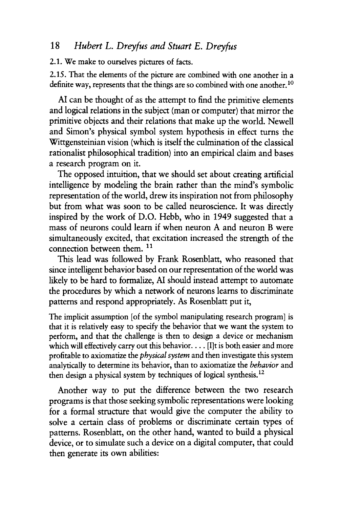2.1. We make to ourselves pictures of facts.

 $2.15.$  That the elements of the picture are combined with one another in a definite way, represents that the things are so combined with one another.10

AI can be thought of as the attempt to find the primitive elements<br>and logical relations in the subject (man or computer) that mirror the primitive objects and their relations that make up the world. Newell and Simon's physical symbol system hypothesis in effect turns the Wittgensteinian vision (which is itself the culmination of the classical Wittgensteinian vision (which is itself the culmination of the classical<br>  $\frac{1}{2}$  is  $\frac{1}{2}$  if  $\frac{1}{2}$  if  $\frac{1}{2}$  if  $\frac{1}{2}$  if  $\frac{1}{2}$  if  $\frac{1}{2}$  if  $\frac{1}{2}$  if  $\frac{1}{2}$  rationalist philosophical tradition) into an empirical claim and bases a research program on it.<br>The opposed intuition, that we should set about creating artificial

intelligence by modeling the brain rather than the mind's symbolic representation of the world, drew its inspiration not from philosophy but from what was soon to be called neuroscience. It was directly inspired by the work of D.O. Hebb, who in 1949 suggested that a inspired by the work of D.O. Hebb, who in 1949 suggested that a mass of neurons could learn if when neuron A and neuron B were simultaneously excited, that excitation increased the strength of the connection between them.  $\cdot$ 

This lead was followed by Frank Rosenblatt, who reasoned that since intelligent behavior based on our representation of the world was likely to be hard to formalize, AI should instead attempt to automate the procedures by which a network of neurons learns to discriminate the procedures by which a network of neurons learns to discriminate patterns and respond appropriately. As Rosenblatt put it,

The implicit assumption [of the symbol manipulating research program] is that it is relatively easy to specify the behavior that we want the system to perform, and that the challenge is then to design a device or mechanism which will effectively carry out this behavior.  $\dots$  [I]t is both easier and more profitable to axiomatize the *physical system* and then investigate this system analytically to determine its behavior, than to axiomatize the *behavior* and analytically to determine its behavior, than to amomatize the behavior and then design a physical system by techniques of logical synthesis.12

Another way to put the difference between the two research programs is that those seeking symbolic representations were looking for a formal structure that would give the computer the ability to solve a certain class of problems or discriminate certain types of patterns. Rosenblatt, on the other hand, wanted to build a physical patterns. Rosenblatt, on the other hand, wanted to build a physical device, or to simulate such a device on a digital computer, that co then generate its own abilities: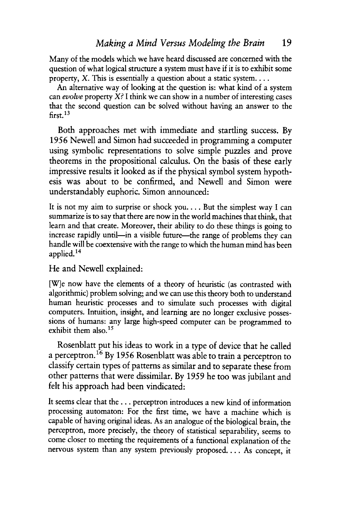Many of the models which we have heard discussed are concerned with the question of what logical structure a system must have if it is to exhibit some property, X. This is essentially a question about a static system.  $\dots$ 

An alternative way of looking at the question is: what kind of a system can evolve property  $X<sup>2</sup>$ . I think we can show in a number of interesting cases can evolve property X? I think we can show in a number of interesting cases that the second question can be solved without having an answer to the first.13

Both approaches met with immediate and startling success. By 1956 Newell and Simon had succeeded in programming a computer using symbolic representations to solve simple puzzles and prove theorems in the propositional calculus. On the basis of these early impressive results it looked as if the physical symbol system hypoth- $\frac{1}{1}$  is local system in the physical symbol system h  $\frac{1}{1}$  and  $\frac{1}{1}$  is  $\frac{1}{1}$  in  $\frac{1}{1}$  in  $\frac{1}{1}$  in  $\frac{1}{1}$  in  $\frac{1}{1}$  in  $\frac{1}{1}$  in  $\frac{1}{1}$  in  $\frac{1}{1}$  in  $\frac{1}{1}$  in  $\frac{1}{1}$  in  $\frac{1}{1}$  in  $\frac{1}{1}$  in  $\frac{1}{1}$  in  $\frac{1}{1}$  in  $\frac{1}{1}$  in understandably euphoric. Simon announced:

It is not my aim to surprise or shock you.... But the simplest way I can summarize is to say that there are now in the world machines that think, that learn and that create. Moreover, their ability to do these things is going to increase rapidly until—in a visible future—the range of problems they can  $\frac{1}{100}$  increase rapidly until  $\frac{1}{100}$  in a visible future? handle will be coextensive with the range to which the human mind has applied.<sup>14</sup>

#### He and Newell explained:

[W]e now have the elements of a theory of heuristic (as contrasted with algorithmic) problem solving; and we can use this theory both to understand human heuristic processes and to simulate such processes with digital computers. Intuition, insight, and learning are no longer exclusive possescomputers. Internation, including are no longer exclusive possession, of homogeneous longer learning are no longer sions of  $\frac{15}{15}$  any large high-speed computer can be programmed to the programmed to  $\frac{15}{15}$ exhibit them also.<sup>15</sup>

Rosenblatt put his ideas to work in a type of device that he called<br>a perceptron.<sup>16</sup> By 1956 Rosenblatt was able to train a perceptron to classify certain types of patterns as similar and to separate these from other patterns that were dissimilar. By 1959 he too was jubilant and other patterns that were dissimilar. By 1959 he too was jubilant and felt his approach had been vindicated:

It seems clear that the ... perceptron introduces a new kind of information processing automaton: For the first time, we have a machine which is capable of having original ideas. As an analogue of the biological brain, the perceptron, more precisely, the theory of statistical separability, seems to come closer to meeting the requirements of a functional explanation of the  $\epsilon$  are  $\epsilon$  to meet  $\epsilon$  the requirements of a functional explanation of the second second of the second of the second second second second second second second second second second second second second second second se  $\frac{1}{2}$  is system than any system previously proposed.  $\frac{1}{2}$  concept,  $\frac{1}{2}$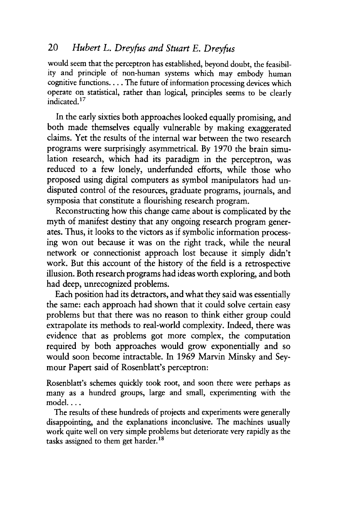would seem that the perceptron has established, beyond doubt, the feasibility and principle of non-human systems which may embody human cognitive functions.  $\dots$  The future of information processing devices which cognitive functions-The future of information processing devices which operate on statistical, rather than logical, principles seems to be clearly indicated.<sup>17</sup>

In the early sixties both approaches looked equally promising, and both made themselves equally vulnerable by making exaggerated both made themselves equally vulnerable by making exaggerated claims. Yet the results of the internal war between the two research programs were surprisingly asymmetrical. By 1970 the brain simulation research, which had its paradigm in the perceptron, was reduced to a few lonely, underfunded efforts, while those who proposed using digital computers as symbol manipulators had undisputed control of the resources, graduate programs, journals, and symposia that constitute a flourishing research program.

Reconstructing how this change came about is complicated by the myth of manifest destiny that any ongoing research program generates. Thus, it looks to the victors as if symbolic information processing won out because it was on the right track, while the neural network or connectionist approach lost because it simply didn't work. But this account of the history of the field is a retrospective illusion. Both research programs had ideas worth exploring, and both had deep, unrecognized problems.

Each position had its detractors, and what they said was essentially the same: each approach had shown that it could solve certain easy problems but that there was no reason to think either group could extrapolate its methods to real-world complexity. Indeed, there was evidence that as problems got more complex, the computation required by both approaches would grow exponentially and so required by both approaches would grow exponentially and so would soon become intractable. In 1969 Marvin Minsky and Sey-<br> $P = \frac{(1 - \epsilon)^n}{n}$ mour Papert said of Rosenblatt's perceptron:

 Rosenblatt's schemes quickly took root, and soon there were perhaps as many as a hundred groups, large and small, experimenting with the model....<br>The results of these hundreds of projects and experiments were generally

disappointing, and the explanations inconclusive. The machines usually work quite well on very simple problems but deteriorate very rapidly as the work quite well on very simple problems but deteriorate very rapidly tasks assigned to them get harde.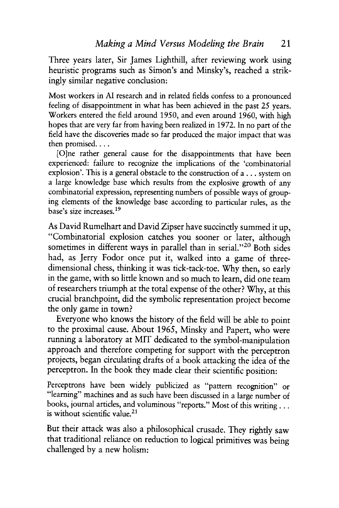Three years later, on James Lighthing, after reviewing work using heuristic programs such as Simon's and Minsky's, reached a strik ingly similar negative conclusion:

Most workers in AI research and in related fields confess to a pronounced feeling of disappointment in what has been achieved in the past 25 years. Workers entered the field around 1950, and even around 1960, with high hopes that are very far from having been realized in 1972. In no part of the  $\frac{1}{2}$  h  $\frac{1}{2}$  having the real in  $\frac{1}{2}$  having been realized in 1972. In no part of the field have the discoveries made so far produced the major impact that was then promised....<br>[O]ne rather general cause for the disappointments that have been

experienced: failure to recognize the implications of the 'combinatorial explosion'. This is a general obstacle to the construction of  $a \dots$  system on a large knowledge base which results from the explosive growth of any combinatorial expression, representing numbers of possible ways of group combinatorial expression, representing numbers of possible ways of group ing elements of the knowledge base according to particular rules, as the base's size increases.19

As David Rumelhart and David Zipser have succinctly summed it up,<br>"Combinatorial explosion catches you sooner or later, although sometimes in different ways in parallel than in serial."<sup>20</sup> Both sides had, as Jerry Fodor once put it, walked into a game of threedimensional chess, thinking it was tick-tack-toe. Why then, so early in the game, with so little known and so much to learn, did one team of researchers triumph at the total expense of the other? Why, at this crucial branchpoint, did the symbolic representation project become the only game in town?

Everyone who knows the history of the field will be able to point to the proximal cause. About 1965, Minsky and Papert, who were running a laboratory at MIT dedicated to the symbol-manipulation approach and therefore competing for support with the perceptron projects, began circulating drafts of a book attacking the idea of the projects, began circulating drafts of a book attacking the idea of the perceptron. In the book they made clear their scientific position:

Perceptrons have been widely publicized as "pattern recognition" or "learning" machines and as such have been discussed in a large number of  $\frac{1}{\sqrt{1 + \frac{1}{\sqrt{1 + \frac{1}{\sqrt{1 + \frac{1}{\sqrt{1 + \frac{1}{\sqrt{1 + \frac{1}{\sqrt{1 + \frac{1}{\sqrt{1 + \frac{1}{\sqrt{1 + \frac{1}{\sqrt{1 + \frac{1}{\sqrt{1 + \frac{1}{\sqrt{1 + \frac{1}{\sqrt{1 + \frac{1}{\sqrt{1 + \frac{1}{\sqrt{1 + \frac{1}{\sqrt{1 + \frac{1}{\sqrt{1 + \frac{1}{\sqrt{1 + \frac{1}{\sqrt{1 + \frac{1}{\sqrt{1 + \frac{1}{\sqrt{1 + \frac{1}{\sqrt{1 + \frac{1}{\sqrt{1 +$  $\frac{1}{2}$  is writing ... is without scientific value. $21$ 

But their attack was also a philosophical crusade. They rightly saw that traditional reliance on reduction to logical primitives was being challenged by a new holicm. challenged by a new holism: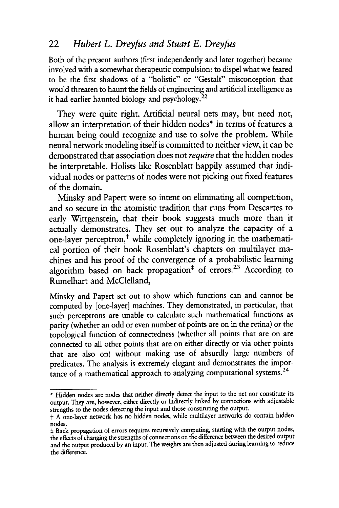Both of the present authors (first independently and later together) became to be the first shadows of a "holistic" or "Gestalt" misconception that would threaten to haunt the fields of engineering and artificial intelligence as would threaten to haunt the fields of engineering and artificial intelligence as it had earlier haunted biology and psychology.22

They were quite right. Artificial neural nets may, but need not, allow an interpretation of their hidden nodes<sup>\*</sup> in terms of features a human being could recognize and use to solve the problem. While neural network modeling itself is committed to neither view, it can be demonstrated that association does not *require* that the hidden nodes be interpretable. Holists like Rosenblatt happily assumed that indibe interpretable. Holists like Rosenblatt happily assumed that indi vidual nodes or patterns of nodes were not picking out fixed features of the domain.<br>Minsky and Papert were so intent on eliminating all competition,

 Minsky and Papert were so intent on eliminating all competition, and so secure in the atomistic tradition that runs from Descartes to early Wittgenstein, that their book suggests much more than it actually demonstrates. They set out to analyze the capacity of a one-layer perceptron,<sup>†</sup> while completely ignoring in the mathematical portion of their book Rosenblatt's chapters on multilayer machines and his proof of the convergence of a probabilistic learning chines and his proof of the convergence of a probabilistic learning algorithm based on back propagation\* of errors. Theorems to Rumelhart and McClelland,

Minsky and Papert set out to show which functions can and cannot be computed by [one-laver] machines. They demonstrated, in particular, that such perceptrons are unable to calculate such mathematical functions as parity (whether an odd or even number of points are on in the retina) or the topological function of connectedness (whether all points that are on are connected to all other points that are on either directly or via other points that are also on) without making use of absurdly large numbers of predicates. The analysis is extremely elegant and demonstrates the imporprediction. The analysis is extremely engine and demonstrates the importance of tance of a mathematical approach to analyzing computational systems.24

 <sup>\*</sup> Hidden nodes are nodes that neither directly detect the input to the net nor constitute its strengths to the nodes detecting the input and those constituting the output.

 $\frac{1}{2}$  strengths to the nodes detection of the nodes while multilayer networks de  $\frac{1}{\sqrt{2}}$  one-layer network has no interest nodes, while  $\frac{1}{\sqrt{2}}$ 

nodes.<br>‡ Back propagation of errors requires recursively computing, starting with the output nodes, the effects of changing the strengths of connections on the difference between the desired output the effects of changing the strengths of changing the directions of connections of connections of connections of the desired output of the direction of the direction of the direction of the direction of the direction of th and the output produced by an input. The weights are then adjusted and  $\theta$ the difference.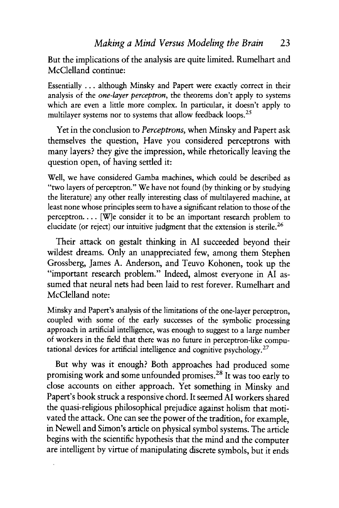But the implications of the analysis are quite limited. Rumelhart and McClelland continue:

Essentially ... although Minsky and Papert were exactly correct in their analysis of the *one-layer perceptron*, the theorems don't apply to systems which are even a little more complex. In particular, it doesn't apply to which are even a little more complex. In particular, it doesn't apply to multilayer systems nor to systems that allow recuback loops.

Yet in the conclusion to *Perceptrons*, when Minsky and Papert ask<br>themselves the question, Have you considered perceptrons with many layers? they give the impression, while rhetorically leaving the many layers? they give the impression, while rhetorically leaving the question open, of having settled it:

Well, we have considered Gamba machines, which could be described as "two layers of perceptron." We have not found (by thinking or by studying the literature) any other really interesting class of multilayered machine, at least none whose principles seem to have a significant relation to those of the perceptron....  $\bar{W}$  e consider it to be an important research problem to perceptron.... [W]e consider it to be an important research problem to elucidate (or reject) our intuitive judgment that the extension is sterile.26

Their attack on gestalt thinking in AI succeeded beyond their wildest dreams. Only an unappreciated few, among them Stephen Grossberg, James A. Anderson, and Teuvo Kohonen, took up the "important research problem." Indeed, almost everyone in AI as- "important research problem." Indeed, almost everyone in AI as sumed that neural nets had been laid to rest forever. Rumelhart and McClelland note:

 Minsky and Papert's analysis of the limitations of the one-layer perceptron, approach in artificial intelligence, was enough to suggest to a large number of workers in the field that there was no future in perceptron-like compu- $\frac{1}{2}$  where  $\frac{1}{2}$  that the field that the field that the field that the field that the field that the field that the field that the field that the field that the field that the field that the field that the field tational devices for artificial intelligence and cognitive psychology.27

But why was it enough? Both approaches had produced some promising work and some unfounded promises.<sup>28</sup> It was too early to close accounts on either approach. Yet something in Minsky and Papert's book struck a responsive chord. It seemed AI workers shared the quasi-religious philosophical prejudice against holism that motivated the attack. One can see the power of the tradition, for example, in Newell and Simon's article on physical symbol systems. The article begins with the scientific hypothesis that the mind and the computer begins with the scientific hypothesis that the mind and the computer are intelligent by virtue of manipulating discrete symbols, but it en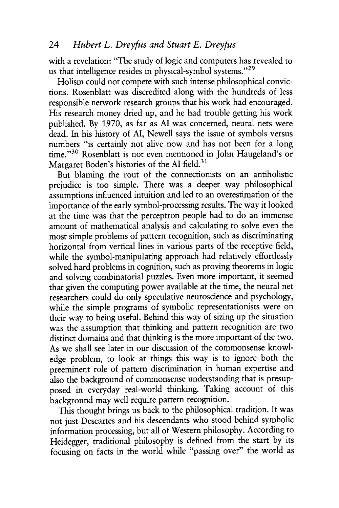with a revelation: "The study of logic and computers has revealed to us that intelligence resides in physical-symbol systems."<sup>29</sup>

Holism could not compete with such intense philosophical convictions. Rosenblatt was discredited along with the hundreds of less responsible network research groups that his work had encouraged. His research money dried up, and he had trouble getting his work published. By 1970, as far as AI was concerned, neural nets were dead. In his history of AI, Newell says the issue of symbols versus numbers "is certainly not alive now and has not been for a long  $time$ ."<sup>30</sup> Rosenblatt is not even mentioned in John Haugeland's or Margaret Boden's histories of the AI field.<sup>31</sup>

But blaming the rout of the connectionists on an antiholistic prejudice is too simple. There was a deeper way philosophical assumptions influenced intuition and led to an overestimation of the importance of the early symbol-processing results. The way it looked at the time was that the perceptron people had to do an immense amount of mathematical analysis and calculating to solve even the most simple problems of pattern recognition, such as discriminating horizontal from vertical lines in various parts of the receptive field, while the symbol-manipulating approach had relatively effortlessly solved hard problems in cognition, such as proving theorems in logic and solving combinatorial puzzles. Even more important, it seemed that given the computing power available at the time, the neural net researchers could do only speculative neuroscience and psychology, while the simple programs of symbolic representationists were on their way to being useful. Behind this way of sizing up the situation was the assumption that thinking and pattern recognition are two distinct domains and that thinking is the more important of the two. distinct domains and that thinking is the more important of the two. As we shall see later in our discussion of the commonsense knowledge problem, to look at things this way is to ignore both the preeminent role of pattern discrimination in human expertise and also the background of commonsense understanding that is presupposed in everyday real-world thinking. Taking account of this background may well require pattern recognition.

This thought brings us back to the philosophical tradition. It was not just Descartes and his descendants who stood behind symbolic information processing, but all of Western philosophy. According to Heidegger, traditional philosophy is defined from the start by its Heideger, traditional philosophy is defined from the start by its focusing on facts in the world while "passing over" the world as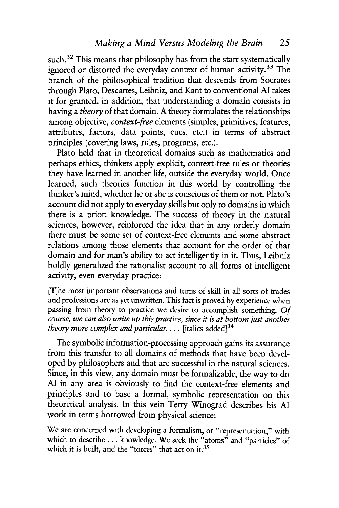such.<sup>32</sup> This means that philosophy has from the start systematically ignored or distorted the everyday context of human activity.<sup>33</sup> The branch of the philosophical tradition that descends from Socrates through Plato, Descartes, Leibniz, and Kant to conventional AI takes it for granted, in addition, that understanding a domain consists in having a *theory* of that domain. A theory formulates the relationships among objective, *context-free* elements (simples, primitives, features, attributes, factors, data points, cues, etc.) in terms of abstract principles (covering laws, rules, programs, etc.). principles (covering laws, rules, programs, etc.).

 Plato held that in theoretical domains such as mathematics and perhaps ethics, thinkers apply explicit, context-free rules or theories they have learned in another life, outside the everyday world. Once learned, such theories function in this world by controlling the thinker's mind, whether he or she is conscious of them or not. Plato's account did not apply to everyday skills but only to domains in which there is a priori knowledge. The success of theory in the natural sciences, however, reinforced the idea that in any orderly domain sciences, however, reinforced the idea that in any orderly domain there must be some set of context-free elements and some abstract relations among those elements that account for the order of that domain and for man's ability to act intelligently in it. Thus, Leibniz boldly generalized the rationalist account to all forms of intelligent boldly generalized the rationalist account to all forms of intelligent activity, even everyday practice:

 [T]he most important observations and turns of skill in all sorts of trades passing from theory to practice we desire to accomplish something. Of course, we can also write up this practice, since it is at bottom just another course, we can also write up this practice, since it is at bottom just another  $t_{\text{m}}$  and  $t_{\text{m}}$  complex and particular- $\ldots$  [italics added]

 The symbolic information-processing approach gains its assurance from this transfer to all domains of methods that have been devel oped by philosophers and that are successful in the natural sciences.<br>Since, in this view, any domain must be formalizable, the way to do AI in any area is obviously to find the context-free elements and principles and to base a formal, symbolic representation on this theoretical analysis. In this vein Terry Winograd describes his AI theoretical analysis. In this vein Terry Winograd describes his AI work in terms borrowed from physical science.

 $W_{\rm eff}$  are concerned with developing a formalism,  $W_{\rm eff}$  and  $W_{\rm eff}$  is  $W_{\rm eff}$  and  $W_{\rm eff}$  and  $W_{\rm eff}$  are  $W_{\rm eff}$  and  $W_{\rm eff}$  and  $W_{\rm eff}$  are  $W_{\rm eff}$  and  $W_{\rm eff}$  and  $W_{\rm eff}$  are  $W_{\rm eff}$  and  $W_{\rm eff}$  are which to describe ... knowledge. We seek the "atoms" and "particles" of which it is built, and the "forces" that act on it.  $35$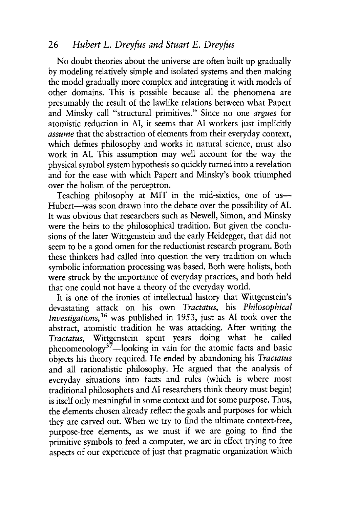No doubt theories about the universe are often built up gradually<br>by modeling relatively simple and isolated systems and then making the model gradually more complex and integrating it with models of other domains. This is possible because all the phenomena are presumably the result of the lawlike relations between what Papert and Minsky call "structural primitives." Since no one argues for atomistic reduction in AI, it seems that AI workers just implicitly assume that the abstraction of elements from their everyday context. which defines philosophy and works in natural science, must also work in AI. This assumption may well account for the way the physical symbol system hypothesis so quickly turned into a revelation physical symbol system hypothesis so quickly turned into a revelation and for the ease with which Papert and Minsky's book triumphed over the holism of the perceptron.<br>Teaching philosophy at MIT in the mid-sixties, one of us—

Hubert—was soon drawn into the debate over the possibility of AI. It was obvious that researchers such as Newell, Simon, and Minsky were the heirs to the philosophical tradition. But given the conclusions of the later Wittgenstein and the early Heidegger, that did not seem to be a good omen for the reductionist research program. Both these thinkers had called into question the very tradition on which symbolic information processing was based. Both were holists, both were struck by the importance of everyday practices, and both held that one could not have a theory of the everyday world.

It is one of the ironies of intellectual history that Wittgenstein's devastating attack on his own Tractatus, his Philosophical Investigations,  $36$  was published in 1953, just as AI took over the abstract, atomistic tradition he was attacking. After writing the Tractatus, Wittgenstein spent years doing what he called phenomenology<sup>37</sup>—looking in vain for the atomic facts and basic objects his theory required. He ended by abandoning his Tractatus and all rationalistic philosophy. He argued that the analysis of everyday situations into facts and rules (which is where most traditional philosophers and AI researchers think theory must begin) is itself only meaningful in some context and for some purpose. Thus. the elements chosen already reflect the goals and purposes for which they are carved out. When we try to find the ultimate context-free. purpose-free elements, as we must if we are going to find the primitive symbols to feed a computer, we are in effect trying to free primitive symbols to recall a computer, we are  $\frac{1}{\sqrt{2}}$ aspects of our experience of just that pragmatic organization which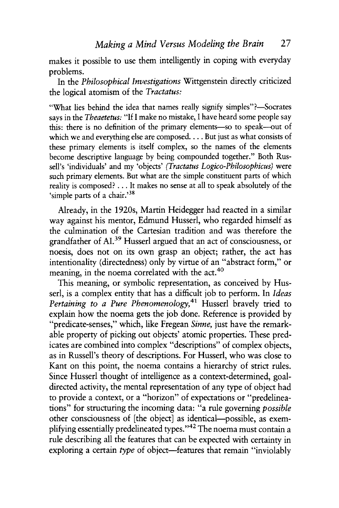makes it possible to use them intelligently in coping with everyday

In the Philosophical Investigations Wittgenstein directly criticized In the Philosophical Investigations with general directly criticized the logical atomism of the Tractatus:

"What lies behind the idea that names really signify simples"?—Socrates says in the *Theaetetus:* "If I make no mistake, I have heard some people say this: there is no definition of the primary elements-so to speak-out of which we and everything else are composed.  $\dots$  But just as what consists of these primary elements is itself complex, so the names of the elements become descriptive language by being compounded together." Both Russell's 'individuals' and my 'objects' (Tractatus Logico-Philosophicus) were such primary elements. But what are the simple constituent parts of which such primary elements. But which are the simple constituent parts of which reality is composed? ... It makes no sense at all to speak absolutely of 'simple parts of a chair.'38

 Already, in the 1920s, Martin Heidegger had reacted in a similar way against his mentor, Edmund Husserl, who regarded himself the culmination of the Cartesian tradition and was therefore the grandfather of AI.<sup>39</sup> Husserl argued that an act of consciousness, or noesis, does not on its own grasp an object; rather, the act has intentionality (directedness) only by virtue of an "abstract form," or meaning, in the noema correlated with the act.<sup>40</sup>

This meaning, or symbolic representation, as conceived by Husserl, is a complex entity that has a difficult job to perform. In Ideas Pertaining to a Pure Phenomenology,<sup>41</sup> Husserl bravely tried to explain how the noema gets the job done. Reference is provided by "predicate-senses," which, like Fregean Sinne, just have the remarkable property of picking out objects' atomic properties. These predicates are combined into complex "descriptions" of complex objects, as in Russell's theory of descriptions. For Husserl, who was close to Kant on this point, the noema contains a hierarchy of strict rules. Since Husserl thought of intelligence as a context-determined, goaldirected activity, the mental representation of any type of object had to provide a context, or a "horizon" of expectations or "predelineations" for structuring the incoming data: "a rule governing possible other consciousness of [the object] as identical-possible, as exemplifying essentially predelineated types."<sup>42</sup> The noema must contain a rule describing all the features that can be expected with certainty in rule describing all the features that can be expected with certainty exploring a certain type of object?features that remain "inviolably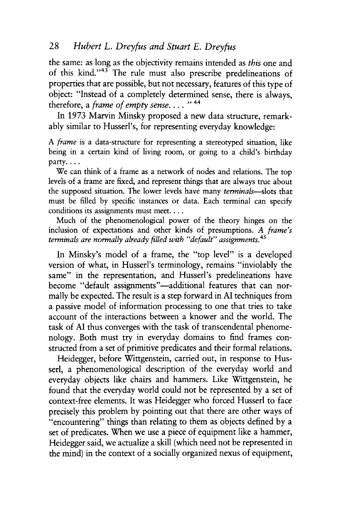the same: as long as the objectivity remains intended as *this* one and of this kind." $43$  The rule must also prescribe predelineations of properties that are possible, but not necessary, features of this type of obiect: "Instead of a completely determined sense, there is always, therefore, a frame of empty sense...."  $44$ 

In 1973 Marvin Minsky proposed a new data structure, remark-In 1973 Marvin Minsky proposed a new data structure, remarkably similar to Husserl's, for representing everyday knowledge

 A frame is a data-structure for representing a stereotyped situation, like being in a certain kind of living room, or going to a child's birthday party....<br>We can think of a frame as a network of nodes and relations. The top

levels of a frame are fixed, and represent things that are always true about the supposed situation. The lower levels have many *terminals*—slots that must be filled by specific instances or data. Each terminal can specify conditions its assignments must meet....

Much of the phenomenological power of the theory hinges on the inclusion of expectations and other kinds of presumptions. A frame's  $\frac{1}{1}$  inclusion of expectations and other kinds of presumptions. A frame terminals are normally already filled with "default" assignments.45

In Minsky's model of a frame, the "top level" is a developed version of what, in Husserl's terminology, remains "inviolably the same" in the representation, and Husserl's predelineations have become "default assignments"-additional features that can normally be expected. The result is a step forward in AI techniques from a passive model of information processing to one that tries to take a passive model of information processing to one that tries to take account of the interactions between a knower and the world. task of AI thus converges with the task of transcendental phenomenology. Both must try in everyday domains to find frames constructed from a set of primitive predicates and their formal relations.

Heidegger, before Wittgenstein, carried out, in response to Husserl, a phenomenological description of the everyday world and everyday objects like chairs and hammers. Like Wittgenstein, he found that the everyday world could not be represented by a set of context-free elements. It was Heidegger who forced Husserl to face precisely this problem by pointing out that there are other ways of "encountering" things than relating to them as objects defined by a set of predicates. When we use a piece of equipment like a hammer, Heidegger said, we actualize a skill (which need not be represented in  $\frac{1}{1}$   $\frac{1}{1}$   $\frac{1}{1}$   $\frac{1}{2}$   $\frac{1}{2}$   $\frac{1}{2}$   $\frac{1}{2}$   $\frac{1}{2}$   $\frac{1}{2}$   $\frac{1}{2}$   $\frac{1}{2}$   $\frac{1}{2}$   $\frac{1}{2}$   $\frac{1}{2}$   $\frac{1}{2}$   $\frac{1}{2}$   $\frac{1}{2}$   $\frac{1}{2}$   $\frac{1}{2}$   $\frac{1}{2}$   $\frac{1}{2}$   $\frac{1}{2}$  the mind) in the context of a socially organized nexus of equipment.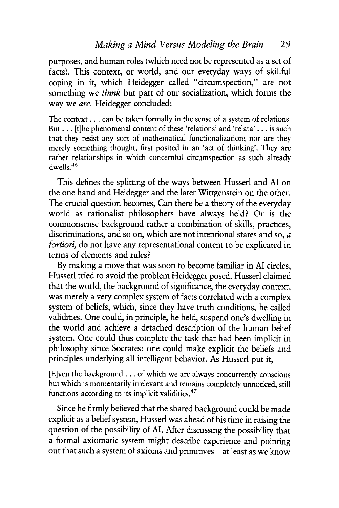purposes, and human roles (which need not be represented as a set of facts). This context, or world, and our everyday ways of skillful coping in it, which Heidegger called "circumspection," are not something we think but part of our socialization, which forms the something we *think* but part of our socialization, which forms the way we are. Hendegger concluded:

The context . . . can be taken formally in the sense of a system of relations.<br>But . . . [t]he phenomenal content of these 'relations' and 'relata' . . . is such that they resist any sort of mathematical functionalization; nor are they merely something thought, first posited in an 'act of thinking'. They are merely something thought, first posited in an 'act of thinking'. They are rather relationships in which concernful circumspection as such already dwells.46

This defines the splitting of the ways between Husserl and AI on the one hand and Heidegger and the later Wittgenstein on the other. The crucial question becomes, Can there be a theory of the everyday world as rationalist philosophers have always held? Or is the commonsense background rather a combination of skills, practices, discriminations, and so on, which are not intentional states and so,  $a$ fortiori, do not have any representational content to be explicated in for  $f(x) = \frac{1}{x} + \frac{1}{x}$ terms of elements and rule

By making a move that was soon to become familiar in AI circles,<br>Husserl tried to avoid the problem Heidegger posed. Husserl claimed that the world, the background of significance, the everyday context. was merely a very complex system of facts correlated with a complex system of beliefs, which, since they have truth conditions, he called validities. One could, in principle, he held, suspend one's dwelling in the world and achieve a detached description of the human belief system. One could thus complete the task that had been implicit in philosophy since Socrates: one could make explicit the beliefs and philosophy since Socrates: one could make explicit the beliefs and principles underlying all intelligent behavior. As Husserl put it,

[E]ven the background . . . of which we are always concurrently conscious but which is momentarily irrelevant and remains completely unnoticed, still  $\epsilon$  is momentarily irrelevant and remains completely unnoticed, still is more integrated, still in  $\frac{1}{2}$ functions according to its implicit validities.47

Since he firmly believed that the shared background could be made explicit as a belief system, Husserl was ahead of his time in raising the question of the possibility of AI. After discussing the possibility that a formal axiomatic system might describe experience and pointing a formal axiomatic system might describe experience and point out that such a system of axioms and primitives?at least as we know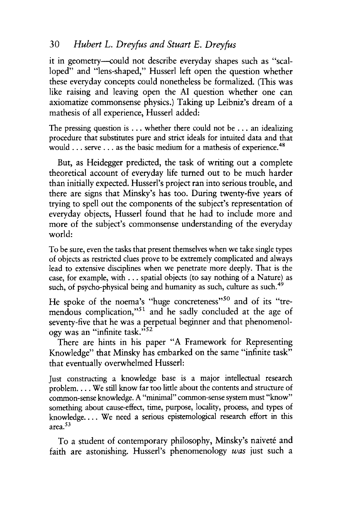it in geometry—could not describe everyday shapes such as "scalloped" and "lens-shaped," Husserl left open the question whether these everyday concepts could nonetheless be formalized. (This was like raising and leaving open the AI question whether one can like raising and leaving open the AI question whether one can axiomatize commonsense physics.) Taking up Leibniz's dream of a mathesis of all experience, Husserl added:

The pressing question is ... whether there could not be ... an idealizing procedure that substitutes pure and strict ideals for intuited data and that procedure that substitutes pure and strict ideals for intuited data and that would ... serve ... as the basic medium for a mathesis of experience.

But, as Heidegger predicted, the task of writing out a complete theoretical account of everyday life turned out to be much harder than initially expected. Husserl's project ran into serious trouble, and there are signs that Minsky's has too. During twenty-five vears of trying to spell out the components of the subject's representation of everyday objects. Husserl found that he had to include more and everyday objects, Husserl found that he had to include more and more of the subject's commonsense understanding of the everyday world:

To be sure, even the tasks that present themselves when we take single types of objects as restricted clues prove to be extremely complicated and always lead to extensive disciplines when we penetrate more deeply. That is the case, for example, with  $\ldots$  spatial objects (to say nothing of a Nature) as case, for example, with ... spatial objects (to say nothing of a rat such, of psycho-physical being and humanity as such, culture as

He spoke of the noema's "huge concreteness"<sup>50</sup> and of its "tre-<br>mendous complication,"<sup>51</sup> and he sadly concluded at the age of seventy-five that he was a perpetual beginner and that phenomenology was an "infinite task." $52$ 

There are hints in his paper "A Framework for Representing Knowledge" that Minsky has embarked on the same "infinite task" Knowledge" that Minsky has embarked on the same "infinite that eventually overwhelmed Tuss

Just constructing a knowledge base is a major intellectual research problem.... We still know far too little about the contents and structure of common-sense knowledge. A "minimal" common-sense system must "know" something about cause-effect, time, purpose, locality, process, and types of  $s$  something about cause-effect, time, purpose, and types of the types of  $\mathcal{L}$ knowledge.... We need a serious epistemological research effort area.53

To a student of contemporary philosophy, Minsky's naivete  $f$ aith are astonishing. Hussen's phenomenology was just such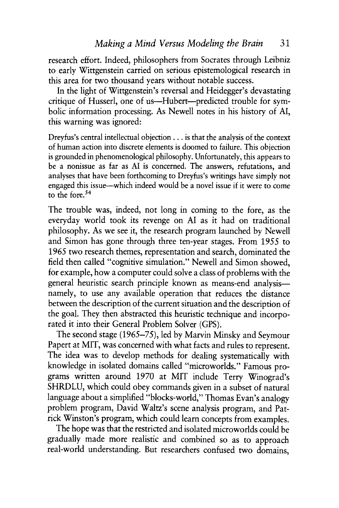research effort. Indeed, philosophers from Socrates through Leibniz<br>to early Wittgenstein carried on serious epistemological research in to early Wittgenstein carried on serious epistemological research in this area for two thousand years without notable success.

In the light of Wittgenstein's reversal and Heidegger's devastating critique of Husserl, one of us—Hubert—predicted trouble for symcritique of Husserl, one of us?Hubert?predicted trouble for sym bone information processing. As Newell notes in his mstory of AI, this warning was ignored:

 Dreyfus's central intellectual objection ... is that the analysis of the context is grounded in phenomenological philosophy. Unfortunately, this appears to be a nonissue as far as AI is concerned. The answers, refutations, and analyses that have been forthcoming to Dreyfus's writings have simply not analyses that have been forthcoming to Dreyfus's writings have simply not engaged this issue?which indeed would be a novel issue if it were to come to the fore.54

The trouble was, indeed, not long in coming to the fore, as the everyday world took its revenge on AI as it had on traditional philosophy. As we see it, the research program launched by Newell and Simon has gone through three ten-year stages. From 1955 to 1965 two research themes, representation and search, dominated the field then called "cognitive simulation." Newell and Simon showed. for example, how a computer could solve a class of problems with the general heuristic search principle known as means-end analysisnamely, to use any available operation that reduces the distance between the description of the current situation and the description of the goal. They then abstracted this heuristic technique and incorporated it into their General Problem Solver (GPS).

The second stage (1965–75), led by Marvin Minsky and Seymour Papert at MIT, was concerned with what facts and rules to represent. The idea was to develop methods for dealing systematically with knowledge in isolated domains called "microworlds." Famous programs written around 1970 at MIT include Terry Winograd's SHRDLU, which could obey commands given in a subset of natural language about a simplified "blocks-world," Thomas Evan's analogy problem program, David Waltz's scene analysis program, and Patrick Winston's program, which could learn concepts from examples.

The hope was that the restricted and isolated microworlds could be gradually made more realistic and combined so as to approach gradually made more realistic and combined so as to approa real-world understanding. But researchers confused two domains,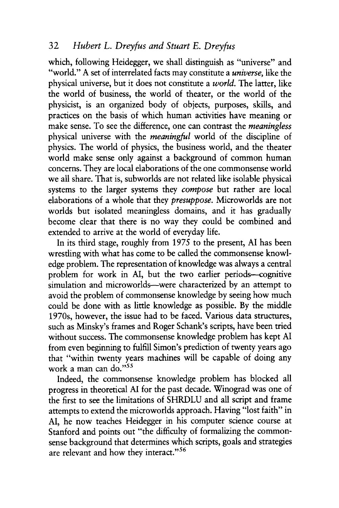which, following Heidegger, we shall distinguish as "universe" and "world." A set of interrelated facts may constitute a *universe*. like the physical universe, but it does not constitute a *world*. The latter, like the world of business, the world of theater, or the world of the physicist, is an organized body of objects, purposes, skills, and practices on the basis of which human activities have meaning or make sense. To see the difference, one can contrast the *meaningless* physical universe with the *meaningful* world of the discipline of physics. The world of physics, the business world, and the theater world make sense only against a background of common human concerns. They are local elaborations of the one commonsense world we all share. That is, subworlds are not related like isolable physical systems to the larger systems they compose but rather are local elaborations of a whole that they *presuppose*. Microworlds are not worlds but isolated meaningless domains, and it has gradually worlds but isolated meaningless domains, and it has gradually become clear that there is no way they could be combined and extended to arrive at the world of everyday life.<br>In its third stage, roughly from 1975 to the present, AI has been

wrestling with what has come to be called the commonsense knowledge problem. The representation of knowledge was always a central problem for work in AI, but the two earlier periods-cognitive simulation and microworlds--were characterized by an attempt to avoid the problem of commonsense knowledge by seeing how much could be done with as little knowledge as possible. By the middle 1970s, however, the issue had to be faced. Various data structures. such as Minsky's frames and Roger Schank's scripts, have been tried without success. The commonsense knowledge problem has kept AI from even beginning to fulfill Simon's prediction of twenty years ago from even beginning to fulfill operation of twenty years ago that "within twenty years machines" will be capable of doing any work a man can do."<sup>55</sup><br>Indeed, the commonsense knowledge problem has blocked all

progress in theoretical AI for the past decade. Winograd was one of the first to see the limitations of SHRDLU and all script and frame attempts to extend the microworlds approach. Having "lost faith" in AI, he now teaches Heidegger in his computer science course at Stanford and points out "the difficulty of formalizing the commonsense background that determines which scripts, goals and strategies sense background that determines which scripts, goals and strategies are relevant and how they interact.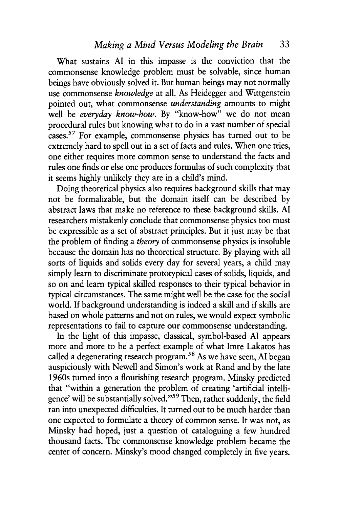What sustains AI in this impasse is the conviction that the commonsense knowledge problem must be solvable, since human beings have obviously solved it. But human beings may not normally use commonsense *knowledge* at all. As Heidegger and Wittgenstein pointed out, what commonsense *understanding* amounts to might well be everyday know-how. By "know-how" we do not mean procedural rules but knowing what to do in a vast number of special cases.<sup>57</sup> For example, commonsense physics has turned out to be extremely hard to spell out in a set of facts and rules. When one tries, one either requires more common sense to understand the facts and rules one finds or else one produces formulas of such complexity that it seems highly unlikely they are in a child's mind.

Doing theoretical physics also requires background skills that may not be formalizable, but the domain itself can be described by abstract laws that make no reference to these background skills. AI researchers mistakenly conclude that commonsense physics too must be expressible as a set of abstract principles. But it just may be that the problem of finding a theory of commonsense physics is insoluble because the domain has no theoretical structure. By playing with all sorts of liquids and solids every day for several years, a child may simply learn to discriminate prototypical cases of solids, liquids, and so on and learn typical skilled responses to their typical behavior in typical circumstances. The same might well be the case for the social world. If background understanding is indeed a skill and if skills are based on whole patterns and not on rules, we would expect symbolic representations to fail to capture our commonsense understanding.

In the light of this impasse, classical, symbol-based AI appears more and more to be a perfect example of what Imre Lakatos has called a degenerating research program.<sup>58</sup> As we have seen, AI began auspiciously with Newell and Simon's work at Rand and by the late 1960s turned into a flourishing research program. Minsky predicted that "within a generation the problem of creating 'artificial intelligence' will be substantially solved."<sup>59</sup> Then, rather suddenly, the field ran into unexpected difficulties. It turned out to be much harder than one expected to formulate a theory of common sense. It was not, as Minsky had hoped, just a question of cataloguing a few hundred thousand facts. The commonsense knowledge problem became the thousand facts. The commonsense knowledge problem became the center of concern. Minsky's mood changed completely in five years.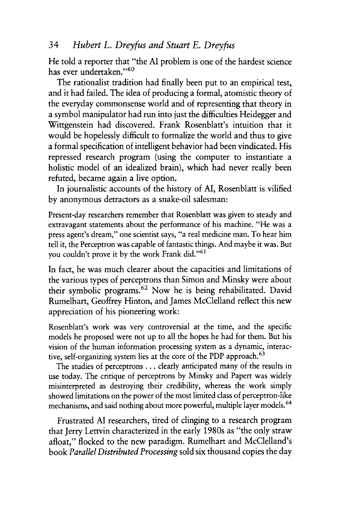He told a reporter that "the AI problem is one of the hardest science has ever undertaken."

The rationalist tradition had finally been put to an empirical test, and it had failed. The idea of producing a formal, atomistic theory of the everyday commonsense world and of representing that theory in a symbol manipulator had run into just the difficulties Heidegger and Wittgenstein had discovered. Frank Rosenblatt's intuition that it would be hopelessly difficult to formalize the world and thus to give a formal specification of intelligent behavior had been vindicated. His repressed research program (using the computer to instantiate a repressed research program (using the computer to instantiate a holistic model of an idealized brain), which had never really been refuted, became again a live option.<br>In iournalistic accounts of the history of AI, Rosenblatt is vilified

In journalistic accounts of the mitory of AI, Rosenblatt is villice by anonymous detractors as a snake-oil salesman:

Present-day researchers remember that Rosenblatt was given to steady and extravagant statements about the performance of his machine. "He was a press agent's dream," one scientist says, "a real medicine man. To hear him press agent's dream," one scientist says, "a real medicine man. To hear him ten it, the Perceptron was capable of fantastic things. This maybe it was. But you couldn't prove it by the work Frank did."61

In fact, he was much clearer about the capacities and limitations of the various types of perceptrons than Simon and Minsky were about their symbolic programs.<sup>62</sup> Now he is being rehabilitated. David their symbolic programs. Two he is being rehabilitated. David Rumelhart, Geoffrey Hinton, and James McClelland reflect this new appreciation of his pioneering work:

Rosenblatt's work was very controversial at the time, and the specific models he proposed were not up to all the hopes he had for them. But his vision of the human information processing system as a dynamic, interactive, self-organizing system lies at the core of the PDP approach.<sup>63</sup>

The studies of perceptrons  $\dots$  clearly anticipated many of the results in use today. The critique of perceptrons by Minsky and Papert was widely misinterpreted as destroying their credibility, whereas the work simply showed limitations on the power of the most limited class of perceptron-like showed limitations on the power of the most limited class of perceptron-like mechanisms, and said nothing about more powerful, multiple layer models.64

Frustrated AI researchers, tired of clinging to a research program that Jerry Lettvin characterized in the early 1980s as "the only straw afloat," flocked to the new paradigm. Rumelhart and McClelland's affoat, " flocked to the new paradigm. Rumelhart and McClellar book Parallel Distributed Processing sold six thousand copies the day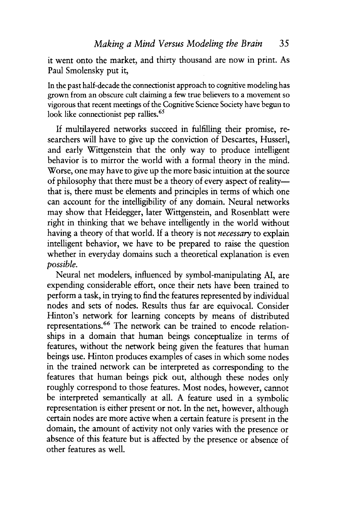it went onto the market, and thirty thousand are now in print. As Paul Smolensky put it,

In the past half-decade the connectionist approach to cognitive modeling has grown from an obscure cult claiming a few true believers to a movement so grown from an obscure cult claiming a few true believers to a movement so vigorous that recent meetings of the Cognitive Science Society have begun to look like connectionist pep rallies.<sup>65</sup>

If multilayered networks succeed in fulfilling their promise, researchers will have to give up the conviction of Descartes, Husserl, and early Wittgenstein that the only way to produce intelligent behavior is to mirror the world with a formal theory in the mind. Worse, one may have to give up the more basic intuition at the source of philosophy that there must be a theory of every aspect of realitythat is, there must be elements and principles in terms of which one can account for the intelligibility of any domain. Neural networks may show that Heidegger, later Wittgenstein, and Rosenblatt were right in thinking that we behave intelligently in the world without having a theory of that world. If a theory is not *necessary* to explain intelligent behavior, we have to be prepared to raise the question  $\frac{1}{1}$  is  $\frac{1}{1}$  if  $\frac{1}{1}$  if  $\frac{1}{1}$  if  $\frac{1}{1}$  if  $\frac{1}{1}$  if  $\frac{1}{1}$  if  $\frac{1}{1}$  if  $\frac{1}{1}$  if  $\frac{1}{1}$  if  $\frac{1}{1}$  if  $\frac{1}{1}$  if  $\frac{1}{1}$  if  $\frac{1}{1}$  if  $\frac{1}{1}$  if  $\frac{1}{1}$  if  $\frac{1}{1}$  if whether in everyday domains such a theoretical explanation is even possible.<br>Neural net modelers, influenced by symbol-manipulating AI, are

expending considerable effort, once their nets have been trained to perform a task, in trying to find the features represented by individual nodes and sets of nodes. Results thus far are equivocal. Consider Hinton's network for learning concepts by means of distributed. representations.<sup>66</sup> The network can be trained to encode relationships in a domain that human beings conceptualize in terms of features, without the network being given the features that human beings use. Hinton produces examples of cases in which some nodes in the trained network can be interpreted as corresponding to the features that human beings pick out, although these nodes only roughly correspond to those features. Most nodes, however, cannot be interpreted semantically at all. A feature used in a symbolic representation is either present or not. In the net, however, although certain nodes are more active when a certain feature is present in the domain, the amount of activity not only varies with the presence or  $d = \frac{d}{dt}$  and  $\frac{d}{dt}$  and  $\frac{d}{dt}$  and  $\frac{d}{dt}$  and  $\frac{d}{dt}$  and  $\frac{d}{dt}$  and  $\frac{d}{dt}$  and  $\frac{d}{dt}$  and  $\frac{d}{dt}$  $\frac{1}{\sqrt{1-\frac{1}{2}}}$ other features as well.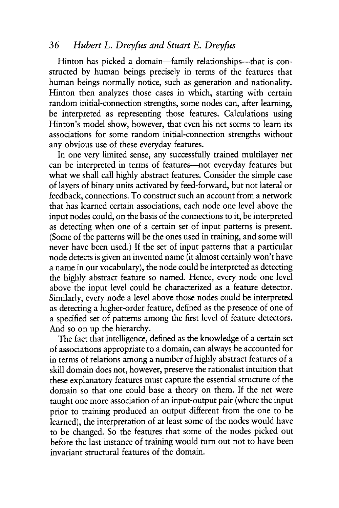Hinton has picked a domain—family relationships—that is constructed by human beings precisely in terms of the features that human beings normally notice, such as generation and nationality. Hinton then analyzes those cases in which, starting with certain random initial-connection strengths, some nodes can, after learning, be interpreted as representing those features. Calculations using Hinton's model show, however, that even his net seems to learn its associations for some random initial-connection strengths without any obvious use of these everyday features.

In one very limited sense, any successfully trained multilayer net can be interpreted in terms of features—not every day features but what we shall call highly abstract features. Consider the simple case of layers of binary units activated by feed-forward, but not lateral or feedback, connections. To construct such an account from a network that has learned certain associations, each node one level above the input nodes could, on the basis of the connections to it, be interpreted as detecting when one of a certain set of input patterns is present. (Some of the patterns will be the ones used in training, and some will never have been used.) If the set of input patterns that a particular node detects is given an invented name (it almost certainly won't have a name in our vocabulary), the node could be interpreted as detecting the highly abstract feature so named. Hence, every node one level above the input level could be characterized as a feature detector. Similarly, every node a level above those nodes could be interpreted as detecting a higher-order feature, defined as the presence of one of as detecting a higher-order feature, defined as the presence of one of a specified set of patterns among the first level of feature detectors. And so on up the hierarchy.<br>The fact that intelligence, defined as the knowledge of a certain set

of associations appropriate to a domain, can always be accounted for in terms of relations among a number of highly abstract features of a skill domain does not, however, preserve the rationalist intuition that these explanatory features must capture the essential structure of the these explanatory features must capture the essential structure of the domain so that one could base a theory on them. If the net were taught one more association of an input-output pair (where the input prior to training produced an output different from the one to be learned), the interpretation of at least some of the nodes would have to be changed. So the features that some of the nodes picked out before the last instance of training would turn out not to have been before the last instance of training would turn out not to have been invariant structural features of the domain.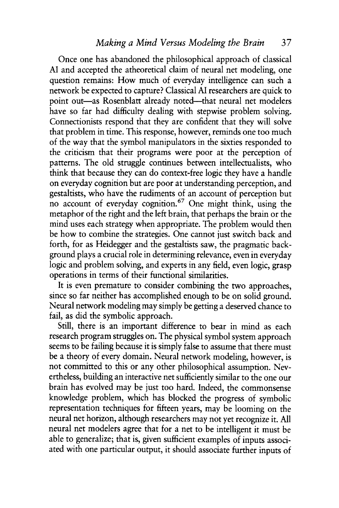Once one has abandoned the philosophical approach of classical AI and accepted the atheoretical claim of neural net modeling, one question remains: How much of everyday intelligence can such a network be expected to capture? Classical AI researchers are quick to point out-as Rosenblatt already noted-that neural net modelers have so far had difficulty dealing with stepwise problem solving. Connectionists respond that they are confident that they will solve that problem in time. This response, however, reminds one too much of the way that the symbol manipulators in the sixties responded to the criticism that their programs were poor at the perception of patterns. The old struggle continues between intellectualists, who think that because they can do context-free logic they have a handle on everyday cognition but are poor at understanding perception, and gestaltists, who have the rudiments of an account of perception but no account of everyday cognition.<sup>67</sup> One might think, using the metaphor of the right and the left brain, that perhaps the brain or the mind uses each strategy when appropriate. The problem would then be how to combine the strategies. One cannot just switch back and forth, for as Heidegger and the gestaltists saw, the pragmatic background plays a crucial role in determining relevance, even in everyday logic and problem solving, and experts in any field, even logic, grasp operations in terms of their functional similarities.

It is even premature to consider combining the two approaches, since so far neither has accomplished enough to be on solid ground. Neural network modeling may simply be getting a deserved chance to fail, as did the symbolic approach.

Still, there is an important difference to bear in mind as each research program struggles on. The physical symbol system approach seems to be failing because it is simply false to assume that there must be a theory of every domain. Neural network modeling, however, is not committed to this or any other philosophical assumption. Nevertheless, building an interactive net sufficiently similar to the one our brain has evolved may be just too hard. Indeed, the commonsense knowledge problem, which has blocked the progress of symbolic representation techniques for fifteen years, may be looming on the neural net horizon, although researchers may not vet recognize it. All neural net modelers agree that for a net to be intelligent it must be able to generalize; that is, given sufficient examples of inputs associable to generalize; that is, given sufficient examples of inputs associated with one particular output, it should associate further inputs of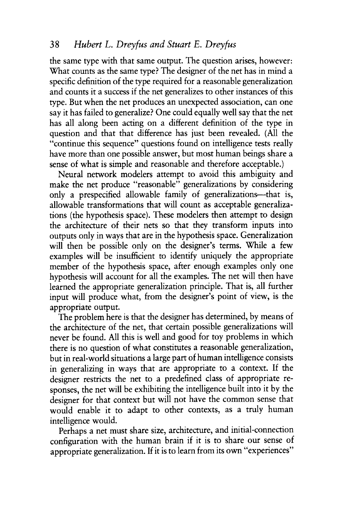the same type with that same output. The question arises, however:<br>What counts as the same type? The designer of the net has in mind a specific definition of the type required for a reasonable generalization and counts it a success if the net generalizes to other instances of this type. But when the net produces an unexpected association, can one say it has failed to generalize? One could equally well say that the net has all along been acting on a different definition of the type in question and that that difference has just been revealed. (All the "continue this sequence" questions found on intelligence tests really have more than one possible answer, but most human beings share a sense of what is simple and reasonable and therefore acceptable.)

Neural network modelers attempt to avoid this ambiguity and make the net produce "reasonable" generalizations by considering only a prespecified allowable family of generalizations—that is, allowable transformations that will count as acceptable generalizations (the hypothesis space). These modelers then attempt to design the architecture of their nets so that they transform inputs into outputs only in ways that are in the hypothesis space. Generalization will then be possible only on the designer's terms. While a few examples will be insufficient to identify uniquely the appropriate member of the hypothesis space, after enough examples only one hypothesis will account for all the examples. The net will then have learned the appropriate generalization principle. That is, all further learned the appropriate generalization principle. That is, all further input will produce what, from the designer's point of view, is the appropriate output.<br>The problem here is that the designer has determined, by means of

the architecture of the net, that certain possible generalizations will never be found. All this is well and good for toy problems in which there is no question of what constitutes a reasonable generalization, but in real-world situations a large part of human intelligence consists in generalizing in ways that are appropriate to a context. If the designer restricts the net to a predefined class of appropriate responses, the net will be exhibiting the intelligence built into it by the designer for that context but will not have the common sense that designer for that context but will not have the common context that would chable it to adapt to other contexts, as a truly human

intelligence would.<br>Perhaps a net must share size, architecture, and initial-connection configuration with the human brain if it is to share our sense of comiguration with the human brain if it is to share our sense of  $\frac{1}{\sqrt{2}}$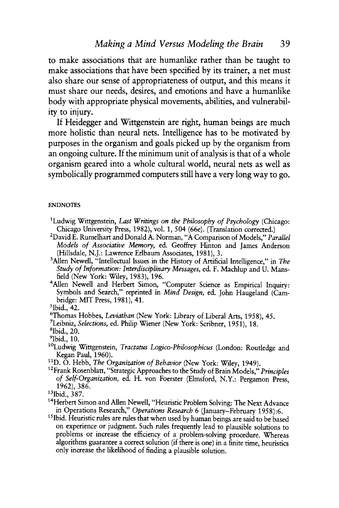to make associations that are humanlike rather than be taught to also share our sense of appropriateness of output, and this means it must share our needs, desires, and emotions and have a humanlike must share our needs, desires, and emotions and have a humanlike body with appropriate physical movements, abilities, and vulnerabil ity to injury.<br>If Heidegger and Wittgenstein are right, human beings are much

more holistic than neural nets. Intelligence has to be motivated by purposes in the organism and goals picked up by the organism from an ongoing culture. If the minimum unit of analysis is that of a whole organism geared into a whole cultural world, neural nets as well as organism geared into a whole cultural world, neural nets as well as symbolically programmed computers still have a very long way to go.

#### ENDNOTES

- <sup>1</sup>Ludwig Wittgenstein, *Last Writings on the Philosophy of Psychology* (Chicago: Chicago: Chicago: 1982), vol. 1, 504 (66e). (Translation corrected.)
- <sup>2</sup>David E. Rumelhart and Donald A. Norman, "A Comparison of Models," Parallel Models of Associative Memory, ed. Geoffrey Hinton and James Anderson (Hillsdale, N.J.: Lawrence Erlbaum Associates, 1981), 3.
- <sup>3</sup> Allen Newell, "Intellectual Issues in the History of Artificial Intelligence," in The Study of Information: Interdisciplinary Messages, ed. F. Machlup and U. Mansfield (New York: Wiley, 1983), 196. field (New York: Wiley, 1983), 196.
- $\frac{1}{4}$   $\frac{1}{4}$   $\frac{1}{4}$   $\frac{1}{4}$   $\frac{1}{4}$   $\frac{1}{4}$   $\frac{1}{4}$   $\frac{1}{4}$   $\frac{1}{4}$   $\frac{1}{4}$   $\frac{1}{4}$   $\frac{1}{4}$   $\frac{1}{4}$   $\frac{1}{4}$   $\frac{1}{4}$   $\frac{1}{4}$   $\frac{1}{4}$   $\frac{1}{4}$   $\frac{1}{4}$   $\frac{1}{4}$   $\frac{1}{4}$   $\frac{1}{4}$   $S_{\text{yield}}$  and  $S_{\text{total}}$  represents and  $\frac{1001}{41}$ bridge: MIT Press, 1981), 41.<br><sup>5</sup>Ibid., 42.
- 
- <sup>6</sup>Thomas Hobbes, Leviathan (New York: Library of Liberal Arts, 1958), 45. 6Thomas Hobbes, Leviathan (New York: Library of Liberal Arts, 1958), 45.
- $\frac{1}{8}$
- ${}^{8}$ Ibid., 20.<br><sup>9</sup>Ibid., 10.
- $1014, 100$
- 10Ludwig Wittgenstein, Tractatus Logico-Philosophicus (London: Routledge and Kegan Paul, 1960).<br><sup>11</sup>D. O. Hebb, *The Organization of Behavior* (New York: Wiley, 1949).
- 
- <sup>12</sup> Frank Rosenblatt, "Strategic Approaches to the Study of Brain Models," Principles 12Frank Rosenblatt, "Strategic Approaches to the Study of Brain Models," Principles of Self-Organization, ed. H. von Foerster (Elmsford, N.Y.: Pergamon Press,  $1962$ ,  $386$ .<br><sup>13</sup>lbid., 387.

<sup>14</sup>Herbert Simon and Allen Newell, "Heuristic Problem Solving: The Next Advance in Operations Research," Operations Research 6 (January-February 1958):6.

<sup>15</sup>Ibid. Heuristic rules are rules that when used by human beings are said to be based on experience or judgment. Such rules frequently lead to plausible solutions to problems or increase the efficiency of a problem-solving procedure. Whereas algorithms guarantee a correct solution (if there is one) in a finite time, heuristics  $\alpha$ ly increase the likelihood of  $\epsilon$ n line  $\alpha$  correct solution (if  $\epsilon$  is one) in a finite time, heuristics only increase the likelihood of finding a plausible solution.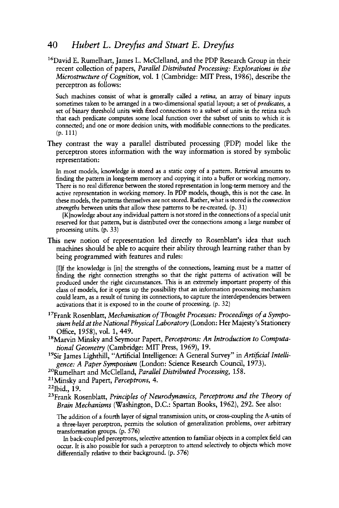<sup>16</sup>David E. Rumelhart, James L. McClelland, and the PDP Research Group in their recent collection of papers, *Parallel Distributed Processing: Explorations in the* recent concerns of papers,  $P_{\text{c}}$  and  $P_{\text{c}}$  and  $P_{\text{c}}$  and  $P_{\text{c}}$  and  $P_{\text{c}}$  and  $P_{\text{c}}$  and  $P_{\text{c}}$  and  $P_{\text{c}}$  and  $P_{\text{c}}$  and  $P_{\text{c}}$  and  $P_{\text{c}}$  and  $P_{\text{c}}$  and  $P_{\text{c}}$  and  $P_{\text{c}}$  an Microstructure of Cognition, vol. 1 (Cambridge: MIT Press, 1986), describe the perceptron as follows:<br>Such machines consist of what is generally called a *retina*, an array of binary inputs

sometimes taken to be arranged in a two-dimensional spatial layout; a set of *predicates*, a set of binary threshold units with fixed connections to a subset of units in the retina such that each predicate computes some local function over the subset of units to which it is that each predicate computes some local function over the subset of units to which it is connected; and one or more decision units, with modifiable connections to the predicates,

(p. 111)<br>They contrast the way a parallel distributed processing (PDP) model like the  $T_{\text{H}}$  contrast the way a parameter shows in  $\epsilon$  and  $\epsilon$  is the distribution of  $\epsilon$  and  $\epsilon$  like perceptron stores information with the way information is stored by symbolic representation:

In most models, knowledge is stored as a static copy of a pattern. Retrieval amounts to finding the pattern in long-term memory and copying it into a buffer or working memory. There is no real difference between the stored representation in long-term memory and the active representation in working memory. In PDP models, though, this is not the case. In these models, the patterns themselves are not stored. Rather, what is stored is the connection strengths between units that allow these patterns to be re-created. (p. 31)

 $[K]$ nowledge about any individual pattern is not stored in the connections of a special unit  $\frac{1}{2}$  is not stored in the connections of a special pattern is not stored in the connections of a special unit  $\frac{1}{2}$  special unit  $\frac{1}{2}$  special unit  $\frac{1}{2}$  special unit  $\frac{1}{2}$  special unit  $\frac{1}{2}$  spec reserved for that pattern, but is distributed over the connections among a large number of

processing units. (p. 33)<br>This new notion of representation led directly to Rosenblatt's idea that such This new notion of representation idea through to Rosenblatt's idea that such that such that such a such as such as machines should be able to acquire their ability through learning rather than by being programmed with features and rules:<br>[I]f the knowledge is [in] the strengths of the connections, learning must be a matter of

finding the right connection strengths so that the right patterns of activation will be produced under the right circumstances. This is an extremely important property of this class of models, for it opens up the possibility that an information processing mechanism could learn, as a result of tuning its connections, to capture the interdependencies between could learn, as a result of tuning its connections, to capture the capture the interdependencies between  $\frac{1}{2}$ activations that it is exposed to in the course of processing.  $q$ 

- 11am Rosenblatt, Mechanisation of Thought Processes Processes. sium held at the National Physical Laboratory (London: Her Majesty's Stationery
- Office, 1958), vol. 1, 449.<br><sup>18</sup>Marvin Minsky and Seymour Papert, *Perceptrons: An Introduction to Computa*tional Geometry (Cambridge: MIT Press, 1969), 19.
- <sup>19</sup>Sir James Lighthill, "Artificial Intelligence: A General Survey" in Artificial Intelligence: A Paper Symposium (London: Science Research Council, 1973).

gence: A Paper Symposium (London: Secreto Research Council, 20Rumelhart and McClelland, Parallel Distributed Processing, 158.

<sup>21</sup>Minsky and Papert, *Perceptrons*, 4.<br><sup>22</sup>Ibid., 19.

<sup>23</sup> Frank Rosenblatt, Principles of Neurodynamics, Perceptrons and the Theory of 114 Frank Rosenblatt, Principles of Neurodynamics, Perceptrons and the Theory of The Theory of The Theory of The Theory of The Theory of The Theory of The Theory of The Theory of The Theory of The Theory of The Theory of T  $Diam$  Mechanisms (Washington, D.C.: Spartan Books, 1962), 292. See

The addition of a fourth layer of signal transmission units, or coupling the A-units of  $\epsilon$  $\alpha$  three-layer perceptron, permits the solution of generalization problems,  $\beta$ transformation groups. (p. 576)<br>In back-coupled perceptrons, selective attention to familiar objects in a complex field can

occur. It is also possible for such a perceptron to attend selectively to objects which move  $\frac{1}{2}$  is also possible for such a perceptron to attend selectively to object  $\frac{1}{2}$ differentially relative to their background, (p. 576)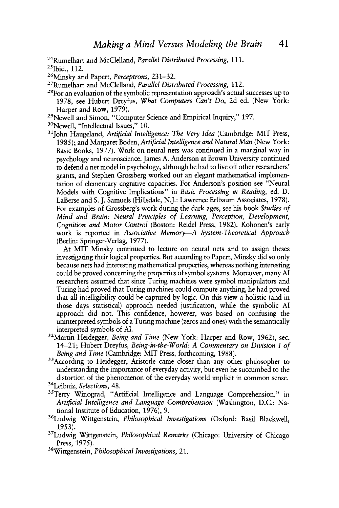<sup>24</sup>Rumelhart and McClelland, *Parallel Distributed Processing*, 111.<br><sup>25</sup>Ibid., 112.

<sup>26</sup>Minsky and Papert, Perceptrons, 231-32.

<sup>27</sup>Rumelhart and McClelland, Parallel Distributed Processing, 112.

 $^{28}$ For an evaluation of the symbolic representation approach's actual successes up to  $286$  an evaluation of the symbolic representation approach  $\sigma$  actual successes up to  $24.2$  $1978$ , see Hubert Dreyfus, What Computers Can't Do, 2d ed. (New York:

 $\text{Haipc1}$  and Row,  $\frac{1}{2}$  $20x - 11$  and Simon, Computer Science and Empirical Inquiry,  $197.7$ 

 $30$ Newell, "Intellectual Issues," 10.<br> $31$ <sub>1</sub> lohn Haugeland, *Artificial Intelligence: The Very Idea* (Cambridge: MIT Press, 1985): and Margaret Boden, Artificial Intelligence and Natural Man (New York: Basic Books, 1977). Work on neural nets was continued in a marginal wav in psychology and neuroscience. James A. Anderson at Brown University continued to defend a net model in psychology, although he had to live off other researchers' grants, and Stephen Grossberg worked out an elegant mathematical implementation of elementary cognitive capacities. For Anderson's position see "Neural Models with Cognitive Implications" in Basic Processing in Reading, ed. D. LaBerse and S. J. Samuels (Hillsdale, N.J.: Lawrence Erlbaum Associates, 1978). For examples of Grossberg's work during the dark ages, see his book Studies of Mind and Brain: Neural Principles of Learning, Perception, Development, Cognition and Motor Control (Boston: Reidel Press, 1982). Kohonen's early Cognition and Motor Control (Boston: Reidel Press, 1982). Kohonen's early work is reported in Associative Memory?A System-Theoretical Approach (Berlin: Springer-Verlag, 1977).<br>At MIT Minsky continued to lecture on neural nets and to assign theses

investigating their logical properties. But according to Papert, Minsky did so only because nets had interesting mathematical properties, whereas nothing interesting could be proved concerning the properties of symbol systems. Moreover, many AI researchers assumed that since Turing machines were symbol manipulators and Turing had proved that Turing machines could compute anything, he had proved that all intelligibility could be captured by logic. On this view a holistic (and in those days statistical) approach needed justification, while the symbolic AI approach did not. This confidence, however, was based on confusing the approach did not. This confidence, however, was based on community the uninterpreted symbols of a Turing machine (zeros and ones) with the semantically interpreted symbols of AI.<br><sup>32</sup>Martin Heidegger, *Being and Time* (New York: Harper and Row, 1962), sec.

- 14–21; Hubert Drevfus, Being-in-the-World: A Commentary on Division I of Being and Time (Cambridge: MIT Press, forthcoming, 1988).
- <sup>33</sup>According to Heidegger, Aristotle came closer than any other philosopher to understanding the importance of everyday activity, but even he succumbed to the understanding the importance of everyday activity, but even he succumbed to the distortion of the phenomenon of the everyday world implicit in common sense. <sup>34</sup>Leibniz, *Selections*, 48.<br><sup>35</sup>Terry Winograd, "Artificial Intelligence and Language Comprehension," in
- 
- Artificial Intelligence and Language Comprehension (Washington, D.C.: National Institute of Education,  $1976$ , 9. tional institute of Education,  $1976$ , 9.
- 36Ludwig Wittgenstein, Philosophical Investigations (Oxford: Basil Blackwell,  $\frac{1}{2}$
- 37Ludwig Wittgenstein, Philosophical Remarks (Chicago: University of Chicago  $\frac{1555}{100}$ .

 $\frac{1}{3}$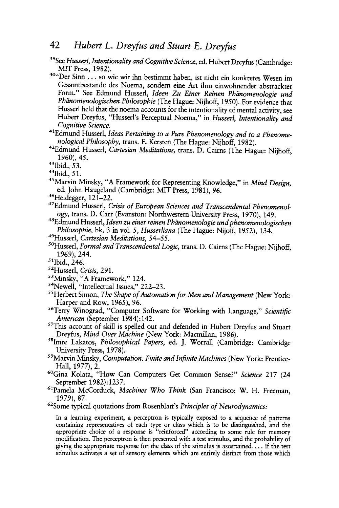<sup>39</sup>See Husserl, *Intentionality and Cognitive Science*, ed. Hubert Dreyfus (Cambridge: MIT Press, 1982).

<sup>40"</sup>Der Sinn . . . so wie wir ihn bestimmt haben, ist nicht ein konkretes Wesen im Gesamtbestande des Noema, sondern eine Art ihm einwohnender abstrackter Form." See Edmund Husserl, Ideen Zu Einer Reinen Phänomenologie und Phänomenologischen Philosophie (The Hague: Nijhoff, 1950). For evidence that Husserl held that the noema accounts for the intentionality of mental activity, see  $H_{\text{th}}$  Husserl's  $\mu$  the normality of  $H_{\text{th}}$  and  $H_{\text{th}}$  and  $H_{\text{th}}$  and  $\mu$ Hubert Dreyfus, "Husserl's Perceptual Noema," in Husserl, Intentionality and The Property and The Property and Cognitive Science.<br><sup>41</sup>Edmund Husserl, Ideas Pertaining to a Pure Phenomenology and to a Phenome-

nological Philosophy, trans. F. Kersten (The Hague: Nijhoff, 1982).

nological Philosophy, trans. The Hague: Nijhoh, 1982.  $\frac{460}{45}$   $\frac{45}{45}$  $1960$ , 45.<br><sup>43</sup>Ibid., 53.

44Ibid., 51.

<sup>45</sup> Marvin Minsky, "A Framework for Representing Knowledge," in Mind Design,  $\frac{1}{2}$   $\frac{1}{2}$   $\frac{1}{2}$   $\frac{1}{2}$   $\frac{1}{2}$   $\frac{1}{2}$   $\frac{1}{2}$   $\frac{1}{2}$   $\frac{1}{2}$   $\frac{1}{2}$   $\frac{1}{2}$   $\frac{1}{2}$   $\frac{1}{2}$   $\frac{1}{2}$   $\frac{1}{2}$   $\frac{1}{2}$   $\frac{1}{2}$   $\frac{1}{2}$   $\frac{1}{2}$   $\frac{1}{2}$   $\frac{1}{2}$   $\frac{1}{2}$  ed. John Haugeland (Cambridge: MIT Press, 1981), 96.

<sup>46</sup>Heidegger, 121–22.<br><sup>47</sup>Edmund Husserl, Crisis of European Sciences and Transcendental Phenomenology, trans. D. Carr (Evanston: Northwestern University Press, 1970), 149.

<sup>48</sup>Edmund Husserl, Ideen zu einer reinen Phänomenologie und phenomenologischen  $\mu_{\text{hileophia}}$   $\mu_{\text{hile}}$  in red 5. Husselians (The Herman Niing 1052), 124 Philosophie, bk. 3 in vol. 5, Husserliana (The Hague: Nijoff, 1952), 134.

 $\frac{1}{9}$ Husserl, Cartesian Meditations,  $\frac{1}{9}$ 

 $\frac{10}{60}$ ,  $\frac{10}{244}$ 1969), 244.<br> $51$ [bid., 246.

- <sup>52</sup>Husserl, Crisis, 291.
- <sup>53</sup>Minsky, "A Framework," 124.
- <sup>54</sup>Newell, "Intellectual Issues," 222-23.

 $55$ Herbert Simon, The Shape of Automation for Men and Management (New York: Harper and Row,  $1965$ ,  $96$ .

<sup>56</sup>Terry Winograd, "Computer Software for Working with Language," Scientific American (September 1984): 142.

 $57$ This account of skill is spelled out and defended in Hubert Dreyfus and Stuart Dreyfus, Mind Over Machine (New York: Macmillan, 1986).

<sup>58</sup>Imre Lakatos, *Philosophical Papers*, ed. J. Worrall (Cambridge: Cambridge University Press, 1978).  $U = U + U + U$ 

 $\frac{1}{100}$  Marvin Minsky, Computation: Finite and Infinite Machines (New York: Prentice  $\frac{1}{100}$  $\sum_{i=1}^{\infty}$  Hall,  $\sum_{i=1}^{\infty}$ 

60Gina Kolata, "How Can Computers Get Common Sense?" Science 217 (24

 September 1982):1237.  $\frac{1000 \text{ N}}{1070}$   $\frac{67}{1070}$  $1^{1979}$ ,  $0$ 

Some typical quotations from Rosenblatt's Principles of Neurodyna

In a learning experiment, a perceptron is typically exposed to a sequence of patterns containing representatives of each type or class which is to be distinguished, and the appropriate choice of a response is "reinforced" according to some rule for memory modification. The perceptron is then presented with a test stimulus, and the probability of giving the appropriate response for the class of the stimulus is ascertained.... If the test giving the appropriate response for the class of the stimulus is ascertained..... It the stimulus activates a set of sensory elements which are entirely distinct from those which